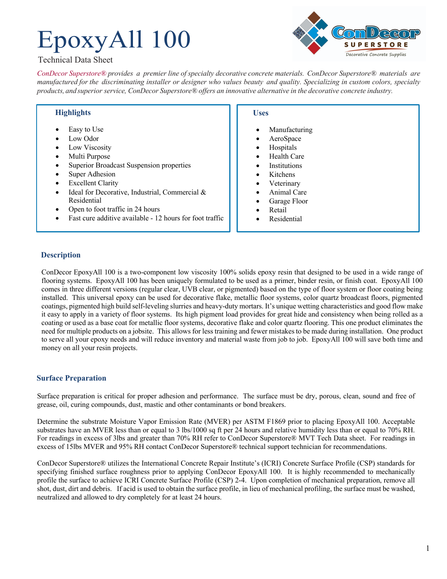# EpoxyAll 100



## Technical Data Sheet

*ConDecor Superstore® provides a premier line of specialty decorative concrete materials. ConDecor Superstore® materials are*  manufactured for the discriminating installer or designer who values beauty and quality. Specializing in custom colors, specialty *products, and superior service, ConDecor Superstore® offers an innovative alternative in the decorative concrete industry.*

## **Highlights**

- Easy to Use
- Low Odor
- Low Viscosity
- Multi Purpose
- Superior Broadcast Suspension properties
- Super Adhesion
- **Excellent Clarity**
- Ideal for Decorative, Industrial, Commercial & Residential
- Open to foot traffic in 24 hours
- Fast cure additive available 12 hours for foot traffic

## **Uses**

- **Manufacturing**
- AeroSpace
- **Hospitals**
- **Health Care**
- **Institutions**
- Kitchens
- **Veterinary**
- Animal Care
- Garage Floor
- Retail
- **Residential**

## **Description**

ConDecor EpoxyAll 100 is a two-component low viscosity 100% solids epoxy resin that designed to be used in a wide range of flooring systems. EpoxyAll 100 has been uniquely formulated to be used as a primer, binder resin, or finish coat. EpoxyAll 100 comes in three different versions (regular clear, UVB clear, or pigmented) based on the type of floor system or floor coating being installed. This universal epoxy can be used for decorative flake, metallic floor systems, color quartz broadcast floors, pigmented coatings, pigmented high build self-leveling slurries and heavy-duty mortars. It's unique wetting characteristics and good flow make it easy to apply in a variety of floor systems. Its high pigment load provides for great hide and consistency when being rolled as a coating or used as a base coat for metallic floor systems, decorative flake and color quartz flooring. This one product eliminates the need for multiple products on a jobsite. This allows for less training and fewer mistakes to be made during installation. One product to serve all your epoxy needs and will reduce inventory and material waste from job to job. EpoxyAll 100 will save both time and money on all your resin projects.

## **Surface Preparation**

Surface preparation is critical for proper adhesion and performance. The surface must be dry, porous, clean, sound and free of grease, oil, curing compounds, dust, mastic and other contaminants or bond breakers.

Determine the substrate Moisture Vapor Emission Rate (MVER) per ASTM F1869 prior to placing EpoxyAll 100. Acceptable substrates have an MVER less than or equal to 3 lbs/1000 sq ft per 24 hours and relative humidity less than or equal to 70% RH. For readings in excess of 3lbs and greater than 70% RH refer to ConDecor Superstore® MVT Tech Data sheet. For readings in excess of 15lbs MVER and 95% RH contact ConDecor Superstore® technical support technician for recommendations.

ConDecor Superstore® utilizes the International Concrete Repair Institute's (ICRI) Concrete Surface Profile (CSP) standards for specifying finished surface roughness prior to applying ConDecor EpoxyAll 100. It is highly recommended to mechanically profile the surface to achieve ICRI Concrete Surface Profile (CSP) 2-4. Upon completion of mechanical preparation, remove all shot, dust, dirt and debris. If acid is used to obtain the surface profile, in lieu of mechanical profiling, the surface must be washed, neutralized and allowed to dry completely for at least 24 hours.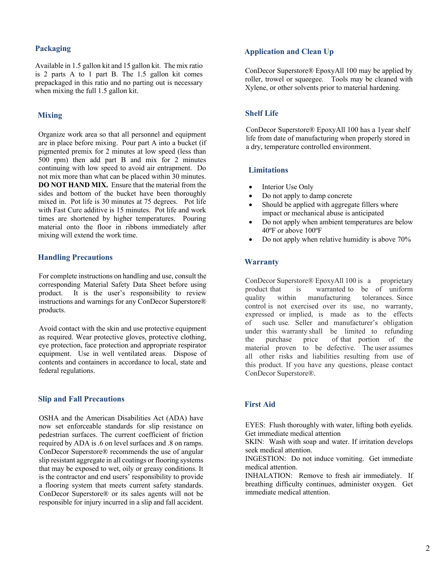## **Packaging**

Available in 1.5 gallon kit and 15 gallon kit. The mix ratio is 2 parts A to 1 part B. The 1.5 gallon kit comes prepackaged in this ratio and no parting out is necessary when mixing the full 1.5 gallon kit.

## **Mixing**

Organize work area so that all personnel and equipment are in place before mixing. Pour part A into a bucket (if pigmented premix for 2 minutes at low speed (less than 500 rpm) then add part B and mix for 2 minutes continuing with low speed to avoid air entrapment. Do not mix more than what can be placed within 30 minutes. **DO NOT HAND MIX.** Ensure that the material from the sides and bottom of the bucket have been thoroughly mixed in. Pot life is 30 minutes at 75 degrees. Pot life with Fast Cure additive is 15 minutes. Pot life and work times are shortened by higher temperatures. Pouring material onto the floor in ribbons immediately after mixing will extend the work time.

## **Handling Precautions**

For complete instructions on handling and use, consult the corresponding Material Safety Data Sheet before using product. It is the user's responsibility to review instructions and warnings for any ConDecor Superstore® products.

Avoid contact with the skin and use protective equipment as required. Wear protective gloves, protective clothing, eye protection, face protection and appropriate respirator equipment. Use in well ventilated areas. Dispose of contents and containers in accordance to local, state and federal regulations.

#### **Slip and Fall Precautions**

OSHA and the American Disabilities Act (ADA) have now set enforceable standards for slip resistance on pedestrian surfaces. The current coefficient of friction required by ADA is .6 on level surfaces and .8 on ramps. ConDecor Superstore® recommends the use of angular slip resistant aggregate in all coatings or flooring systems that may be exposed to wet, oily or greasy conditions. It is the contractor and end users' responsibility to provide a flooring system that meets current safety standards. ConDecor Superstore® or its sales agents will not be responsible for injury incurred in a slip and fall accident.

## **Application and Clean Up**

ConDecor Superstore® EpoxyAll 100 may be applied by roller, trowel or squeegee. Tools may be cleaned with Xylene, or other solvents prior to material hardening.

#### **Shelf Life**

ConDecor Superstore® EpoxyAll 100 has a 1year shelf life from date of manufacturing when properly stored in a dry, temperature controlled environment.

## **Limitations**

- Interior Use Only
- Do not apply to damp concrete
- Should be applied with aggregate fillers where impact or mechanical abuse is anticipated
- Do not apply when ambient temperatures are below 40ºF or above 100ºF
- Do not apply when relative humidity is above 70%

#### **Warranty**

ConDecor Superstore® EpoxyAll 100 is a proprietary product that is warranted to be of uniform quality within manufacturing tolerances. Since control is not exercised over its use, no warranty, expressed or implied, is made as to the effects of such use. Seller and manufacturer's obligation under this warranty shall be limited to refunding the purchase price of that portion of the material proven to be defective. The user assumes all other risks and liabilities resulting from use of this product. If you have any questions, please contact ConDecor Superstore®.

#### **First Aid**

EYES: Flush thoroughly with water, lifting both eyelids. Get immediate medical attention

SKIN: Wash with soap and water. If irritation develops seek medical attention.

INGESTION: Do not induce vomiting. Get immediate medical attention.

INHALATION: Remove to fresh air immediately. If breathing difficulty continues, administer oxygen. Get immediate medical attention.